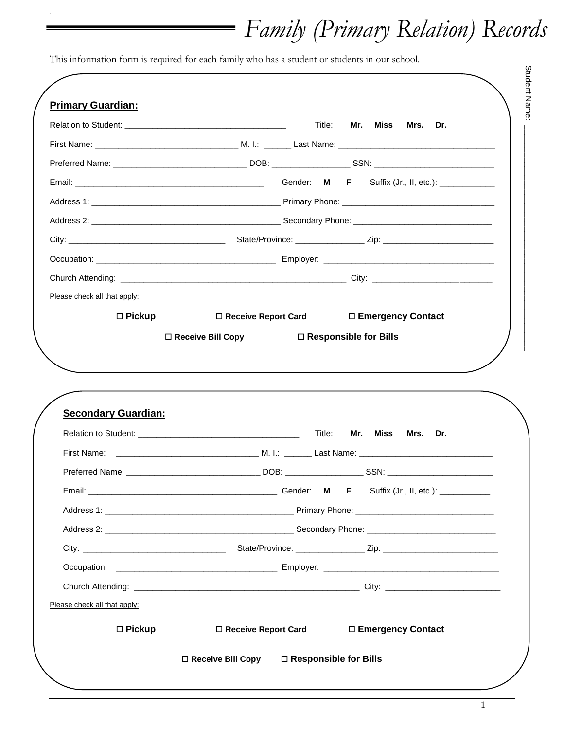# *Family (Primary Relation) Records*

This information form is required for each family who has a student or students in our school.

|                              | Title:                      | Mr. Miss<br>Mrs. Dr.    |
|------------------------------|-----------------------------|-------------------------|
|                              |                             |                         |
|                              |                             |                         |
|                              |                             |                         |
|                              |                             |                         |
|                              |                             |                         |
|                              |                             |                         |
|                              |                             |                         |
|                              |                             |                         |
| Please check all that apply: |                             |                         |
| $\square$ Pickup             | $\Box$ Receive Report Card  | □ Emergency Contact     |
|                              | $\square$ Receive Bill Copy | □ Responsible for Bills |
| <b>Secondary Guardian:</b>   |                             | Mr. Miss<br>Mrs. Dr.    |
|                              | Title:                      |                         |
|                              |                             |                         |
|                              |                             |                         |
|                              |                             |                         |
|                              |                             |                         |
|                              |                             |                         |
|                              |                             |                         |
|                              |                             |                         |
| Please check all that apply: |                             |                         |

1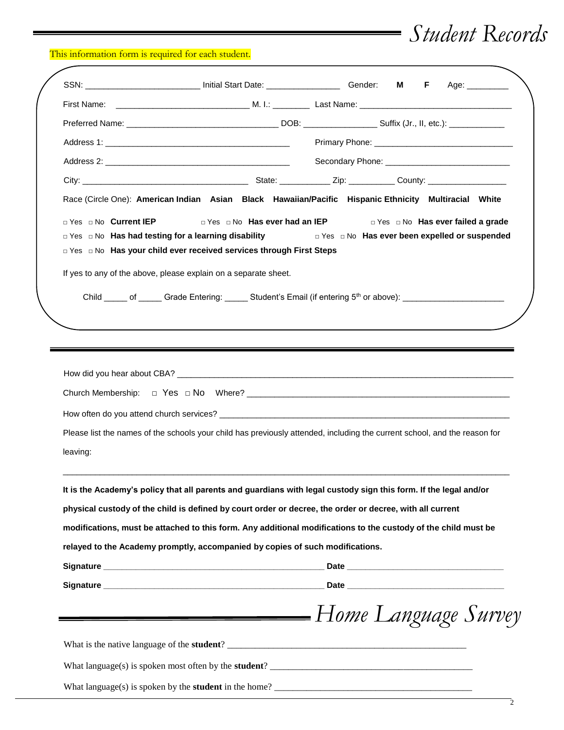## *Student Records*

This information form is required for each student.

|                        |                                                                                                        | SSN: _______________________________ Initial Start Date: _______________________ Gender: M<br>F.<br>Age: _________                              |
|------------------------|--------------------------------------------------------------------------------------------------------|-------------------------------------------------------------------------------------------------------------------------------------------------|
|                        |                                                                                                        |                                                                                                                                                 |
|                        |                                                                                                        |                                                                                                                                                 |
|                        |                                                                                                        |                                                                                                                                                 |
|                        |                                                                                                        |                                                                                                                                                 |
|                        |                                                                                                        |                                                                                                                                                 |
|                        |                                                                                                        | Race (Circle One): American Indian Asian Black Hawaiian/Pacific Hispanic Ethnicity Multiracial White                                            |
| □ Yes □ No Current IEP | □ Yes □ No Has ever had an IEP<br>□ Yes □ No Has your child ever received services through First Steps | □ Yes □ No Has ever failed a grade<br>□ Yes □ No Has had testing for a learning disability No Bos Diversion Has ever been expelled or suspended |
|                        | If yes to any of the above, please explain on a separate sheet.                                        |                                                                                                                                                 |
|                        |                                                                                                        | Child _____ of ______ Grade Entering: ______ Student's Email (if entering 5 <sup>th</sup> or above): ______________________                     |
|                        |                                                                                                        |                                                                                                                                                 |
|                        |                                                                                                        |                                                                                                                                                 |
|                        |                                                                                                        |                                                                                                                                                 |
|                        |                                                                                                        | Please list the names of the schools your child has previously attended, including the current school, and the reason for                       |
|                        |                                                                                                        | It is the Academy's policy that all parents and guardians with legal custody sign this form. If the legal and/or                                |
|                        |                                                                                                        | physical custody of the child is defined by court order or decree, the order or decree, with all current                                        |
|                        |                                                                                                        | modifications, must be attached to this form. Any additional modifications to the custody of the child must be                                  |
| leaving:               | relayed to the Academy promptly, accompanied by copies of such modifications.                          |                                                                                                                                                 |
|                        |                                                                                                        |                                                                                                                                                 |
|                        |                                                                                                        |                                                                                                                                                 |
|                        |                                                                                                        | Home Language Survey                                                                                                                            |
|                        |                                                                                                        |                                                                                                                                                 |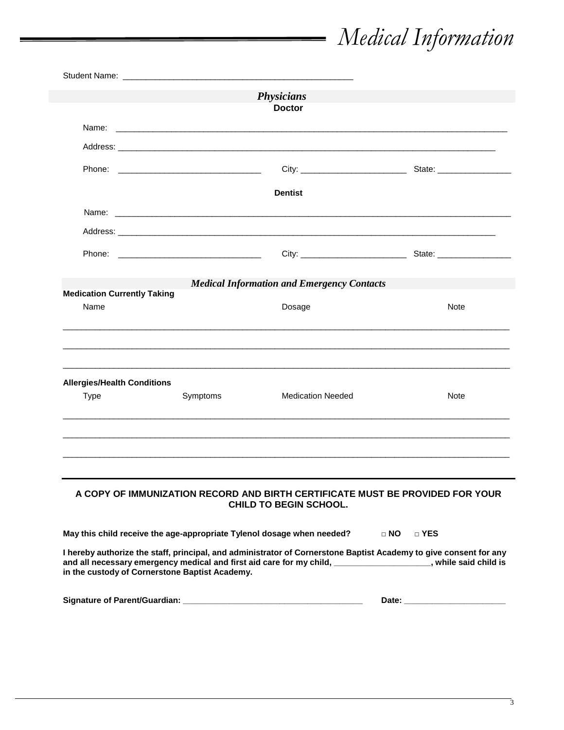# *Medical Information*

|                                                   |                                                                        | <b>Physicians</b><br><b>Doctor</b>                                                                                                                                                                                               |            |
|---------------------------------------------------|------------------------------------------------------------------------|----------------------------------------------------------------------------------------------------------------------------------------------------------------------------------------------------------------------------------|------------|
|                                                   |                                                                        |                                                                                                                                                                                                                                  |            |
|                                                   |                                                                        |                                                                                                                                                                                                                                  |            |
|                                                   |                                                                        |                                                                                                                                                                                                                                  |            |
|                                                   |                                                                        | <b>Dentist</b>                                                                                                                                                                                                                   |            |
|                                                   |                                                                        |                                                                                                                                                                                                                                  |            |
|                                                   |                                                                        | Address: Address: Address: Address: Address: Address: Address: Address: Address: Address: Address: A                                                                                                                             |            |
|                                                   |                                                                        |                                                                                                                                                                                                                                  |            |
|                                                   |                                                                        | <b>Medical Information and Emergency Contacts</b>                                                                                                                                                                                |            |
| <b>Medication Currently Taking</b>                |                                                                        |                                                                                                                                                                                                                                  |            |
| Name                                              |                                                                        | Dosage                                                                                                                                                                                                                           | Note       |
| <b>Allergies/Health Conditions</b><br><b>Type</b> | Symptoms                                                               | <b>Medication Needed</b>                                                                                                                                                                                                         | Note       |
|                                                   |                                                                        |                                                                                                                                                                                                                                  |            |
|                                                   |                                                                        | A COPY OF IMMUNIZATION RECORD AND BIRTH CERTIFICATE MUST BE PROVIDED FOR YOUR<br><b>CHILD TO BEGIN SCHOOL.</b>                                                                                                                   |            |
|                                                   | May this child receive the age-appropriate Tylenol dosage when needed? |                                                                                                                                                                                                                                  | D NO D YES |
|                                                   | in the custody of Cornerstone Baptist Academy.                         | I hereby authorize the staff, principal, and administrator of Cornerstone Baptist Academy to give consent for any<br>and all necessary emergency medical and first aid care for my child, _________________, while said child is |            |
|                                                   |                                                                        |                                                                                                                                                                                                                                  |            |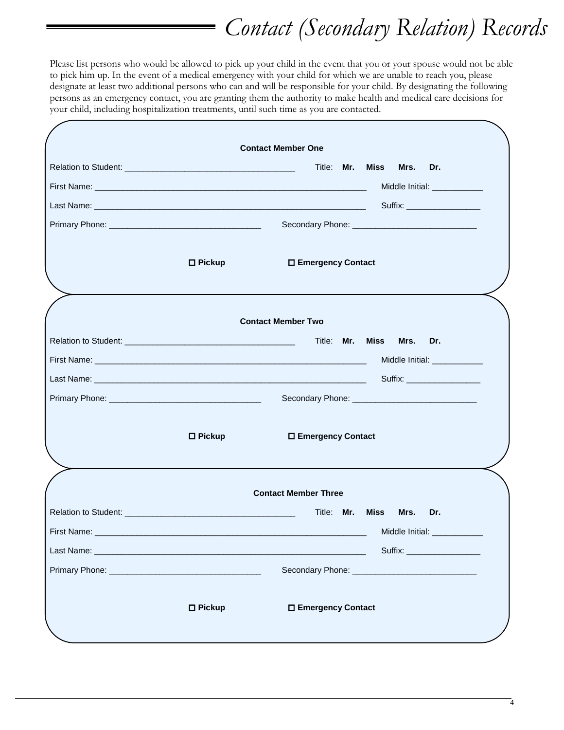# *Contact (Secondary Relation) Records*

Please list persons who would be allowed to pick up your child in the event that you or your spouse would not be able to pick him up. In the event of a medical emergency with your child for which we are unable to reach you, please designate at least two additional persons who can and will be responsible for your child. By designating the following persons as an emergency contact, you are granting them the authority to make health and medical care decisions for your child, including hospitalization treatments, until such time as you are contacted.

| <b>Miss</b><br>Title: Mr.<br>Mrs.<br>Dr.<br>Middle Initial: _____________<br>$\Box$ Pickup<br>□ Emergency Contact<br><b>Contact Member Two</b><br>Mrs.<br>Dr.<br>$\Box$ Pickup<br>□ Emergency Contact<br><b>Contact Member Three</b><br>Title: Mr.<br>Miss<br>Mrs.<br>Dr.<br>Middle Initial: | <b>Contact Member One</b>      |
|----------------------------------------------------------------------------------------------------------------------------------------------------------------------------------------------------------------------------------------------------------------------------------------------|--------------------------------|
| Relation to Student: <u>Contractor Communication</u> Title: Mr. Miss<br>First Name:                                                                                                                                                                                                          |                                |
|                                                                                                                                                                                                                                                                                              |                                |
|                                                                                                                                                                                                                                                                                              |                                |
|                                                                                                                                                                                                                                                                                              |                                |
|                                                                                                                                                                                                                                                                                              |                                |
|                                                                                                                                                                                                                                                                                              |                                |
|                                                                                                                                                                                                                                                                                              |                                |
|                                                                                                                                                                                                                                                                                              |                                |
|                                                                                                                                                                                                                                                                                              |                                |
|                                                                                                                                                                                                                                                                                              |                                |
|                                                                                                                                                                                                                                                                                              | Middle Initial: _____________  |
|                                                                                                                                                                                                                                                                                              | Suffix: __________________     |
|                                                                                                                                                                                                                                                                                              |                                |
|                                                                                                                                                                                                                                                                                              |                                |
|                                                                                                                                                                                                                                                                                              |                                |
|                                                                                                                                                                                                                                                                                              |                                |
|                                                                                                                                                                                                                                                                                              |                                |
|                                                                                                                                                                                                                                                                                              |                                |
|                                                                                                                                                                                                                                                                                              |                                |
|                                                                                                                                                                                                                                                                                              | Suffix: ______________________ |
|                                                                                                                                                                                                                                                                                              |                                |
| $\square$ Pickup<br>□ Emergency Contact                                                                                                                                                                                                                                                      |                                |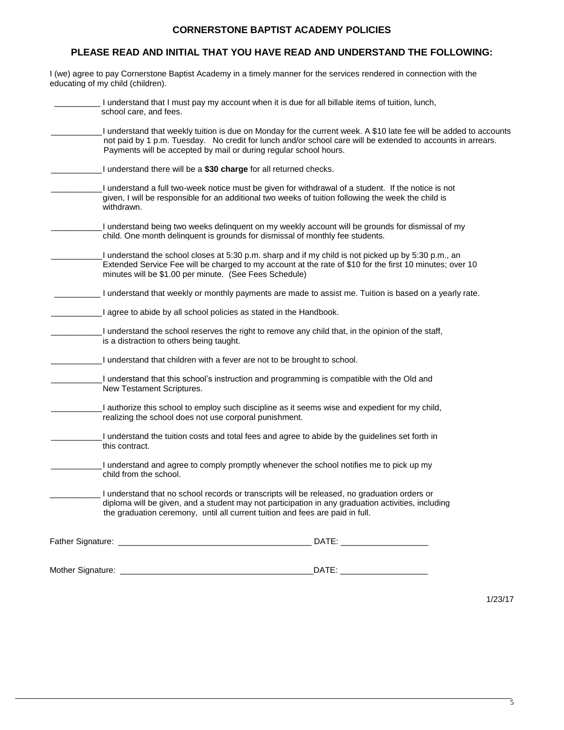### **CORNERSTONE BAPTIST ACADEMY POLICIES**

### **PLEASE READ AND INITIAL THAT YOU HAVE READ AND UNDERSTAND THE FOLLOWING:**

I (we) agree to pay Cornerstone Baptist Academy in a timely manner for the services rendered in connection with the educating of my child (children).

| I understand that I must pay my account when it is due for all billable items of tuition, lunch,<br>school care, and fees.                                                                                                                                                                            |
|-------------------------------------------------------------------------------------------------------------------------------------------------------------------------------------------------------------------------------------------------------------------------------------------------------|
| I understand that weekly tuition is due on Monday for the current week. A \$10 late fee will be added to accounts<br>not paid by 1 p.m. Tuesday. No credit for lunch and/or school care will be extended to accounts in arrears.<br>Payments will be accepted by mail or during regular school hours. |
| I understand there will be a \$30 charge for all returned checks.                                                                                                                                                                                                                                     |
| I understand a full two-week notice must be given for withdrawal of a student. If the notice is not<br>given, I will be responsible for an additional two weeks of tuition following the week the child is<br>withdrawn.                                                                              |
| I understand being two weeks delinquent on my weekly account will be grounds for dismissal of my<br>child. One month delinquent is grounds for dismissal of monthly fee students.                                                                                                                     |
| I understand the school closes at 5:30 p.m. sharp and if my child is not picked up by 5:30 p.m., an<br>Extended Service Fee will be charged to my account at the rate of \$10 for the first 10 minutes; over 10<br>minutes will be \$1.00 per minute. (See Fees Schedule)                             |
| I understand that weekly or monthly payments are made to assist me. Tuition is based on a yearly rate.                                                                                                                                                                                                |
| I agree to abide by all school policies as stated in the Handbook.                                                                                                                                                                                                                                    |
| I understand the school reserves the right to remove any child that, in the opinion of the staff,<br>is a distraction to others being taught.                                                                                                                                                         |
| I understand that children with a fever are not to be brought to school.                                                                                                                                                                                                                              |
| I understand that this school's instruction and programming is compatible with the Old and<br>New Testament Scriptures.                                                                                                                                                                               |
| I authorize this school to employ such discipline as it seems wise and expedient for my child,<br>realizing the school does not use corporal punishment.                                                                                                                                              |
| I understand the tuition costs and total fees and agree to abide by the guidelines set forth in<br>this contract.                                                                                                                                                                                     |
| I understand and agree to comply promptly whenever the school notifies me to pick up my<br>child from the school.                                                                                                                                                                                     |
| I understand that no school records or transcripts will be released, no graduation orders or<br>diploma will be given, and a student may not participation in any graduation activities, including<br>the graduation ceremony, until all current tuition and fees are paid in full.                   |
|                                                                                                                                                                                                                                                                                                       |
|                                                                                                                                                                                                                                                                                                       |
|                                                                                                                                                                                                                                                                                                       |

1/23/17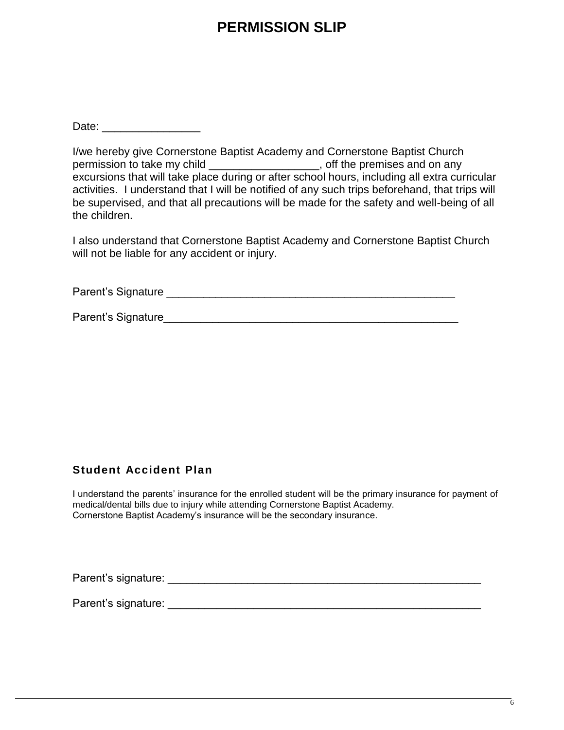## **PERMISSION SLIP**

Date:  $\Box$ 

I/we hereby give Cornerstone Baptist Academy and Cornerstone Baptist Church permission to take my child \_\_\_\_\_\_\_\_\_\_\_\_\_\_\_\_\_\_, off the premises and on any excursions that will take place during or after school hours, including all extra curricular activities. I understand that I will be notified of any such trips beforehand, that trips will be supervised, and that all precautions will be made for the safety and well-being of all the children.

I also understand that Cornerstone Baptist Academy and Cornerstone Baptist Church will not be liable for any accident or injury.

Parent's Signature \_\_\_\_\_\_\_\_\_\_\_\_\_\_\_\_\_\_\_\_\_\_\_\_\_\_\_\_\_\_\_\_\_\_\_\_\_\_\_\_\_\_\_\_\_\_\_

Parent's Signature

### **Student Accident Plan**

I understand the parents' insurance for the enrolled student will be the primary insurance for payment of medical/dental bills due to injury while attending Cornerstone Baptist Academy. Cornerstone Baptist Academy's insurance will be the secondary insurance.

Parent's signature: \_\_\_\_\_\_\_\_\_\_\_\_\_\_\_\_\_\_\_\_\_\_\_\_\_\_\_\_\_\_\_\_\_\_\_\_\_\_\_\_\_\_\_\_\_\_\_\_\_\_\_

Parent's signature: **Example 20** and 20 and 20 and 20 and 20 and 20 and 20 and 20 and 20 and 20 and 20 and 20 and 20 and 20 and 20 and 20 and 20 and 20 and 20 and 20 and 20 and 20 and 20 and 20 and 20 and 20 and 20 and 20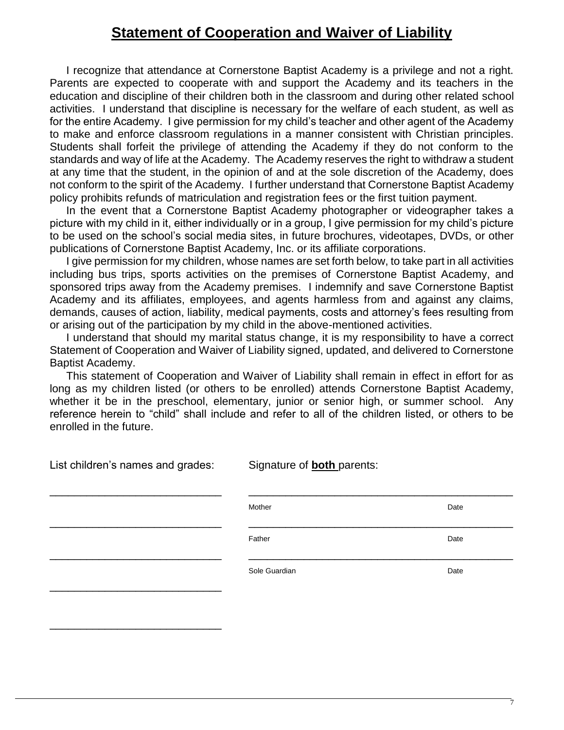## **Statement of Cooperation and Waiver of Liability**

I recognize that attendance at Cornerstone Baptist Academy is a privilege and not a right. Parents are expected to cooperate with and support the Academy and its teachers in the education and discipline of their children both in the classroom and during other related school activities. I understand that discipline is necessary for the welfare of each student, as well as for the entire Academy. I give permission for my child's teacher and other agent of the Academy to make and enforce classroom regulations in a manner consistent with Christian principles. Students shall forfeit the privilege of attending the Academy if they do not conform to the standards and way of life at the Academy. The Academy reserves the right to withdraw a student at any time that the student, in the opinion of and at the sole discretion of the Academy, does not conform to the spirit of the Academy. I further understand that Cornerstone Baptist Academy policy prohibits refunds of matriculation and registration fees or the first tuition payment.

In the event that a Cornerstone Baptist Academy photographer or videographer takes a picture with my child in it, either individually or in a group, I give permission for my child's picture to be used on the school's social media sites, in future brochures, videotapes, DVDs, or other publications of Cornerstone Baptist Academy, Inc. or its affiliate corporations.

I give permission for my children, whose names are set forth below, to take part in all activities including bus trips, sports activities on the premises of Cornerstone Baptist Academy, and sponsored trips away from the Academy premises. I indemnify and save Cornerstone Baptist Academy and its affiliates, employees, and agents harmless from and against any claims, demands, causes of action, liability, medical payments, costs and attorney's fees resulting from or arising out of the participation by my child in the above-mentioned activities.

I understand that should my marital status change, it is my responsibility to have a correct Statement of Cooperation and Waiver of Liability signed, updated, and delivered to Cornerstone Baptist Academy.

This statement of Cooperation and Waiver of Liability shall remain in effect in effort for as long as my children listed (or others to be enrolled) attends Cornerstone Baptist Academy, whether it be in the preschool, elementary, junior or senior high, or summer school. Any reference herein to "child" shall include and refer to all of the children listed, or others to be enrolled in the future.

| List children's names and grades: | Signature of <b>both</b> parents: |      |  |  |
|-----------------------------------|-----------------------------------|------|--|--|
|                                   | Mother                            | Date |  |  |
|                                   | Father                            | Date |  |  |
|                                   | Sole Guardian                     | Date |  |  |
|                                   |                                   |      |  |  |

\_\_\_\_\_\_\_\_\_\_\_\_\_\_\_\_\_\_\_\_\_\_\_\_\_\_\_\_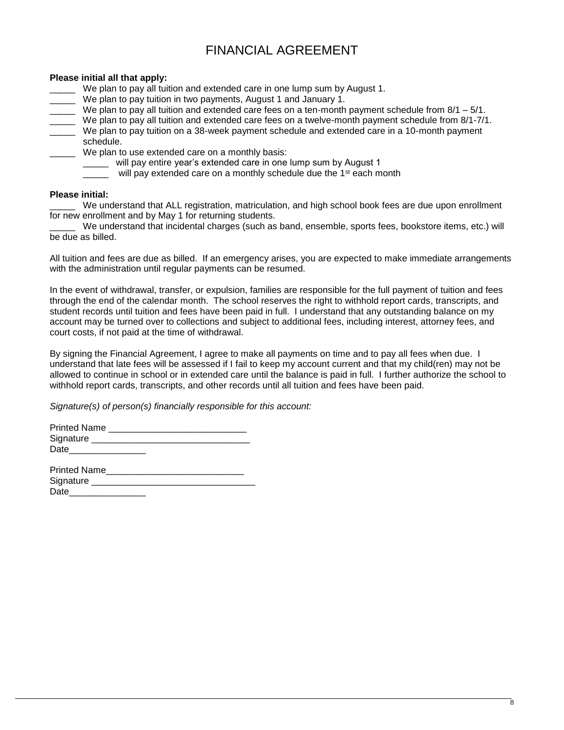### FINANCIAL AGREEMENT

### **Please initial all that apply:**

- We plan to pay all tuition and extended care in one lump sum by August 1.
- We plan to pay tuition in two payments, August 1 and January 1.
- We plan to pay all tuition and extended care fees on a ten-month payment schedule from  $8/1 5/1$ .
- \_\_\_\_\_ We plan to pay all tuition and extended care fees on a twelve-month payment schedule from 8/1-7/1.
- \_\_\_\_\_ We plan to pay tuition on a 38-week payment schedule and extended care in a 10-month payment schedule.
	- \_\_\_\_\_ We plan to use extended care on a monthly basis:
		- will pay entire year's extended care in one lump sum by August 1
		- will pay extended care on a monthly schedule due the 1<sup>st</sup> each month

#### **Please initial:**

We understand that ALL registration, matriculation, and high school book fees are due upon enrollment for new enrollment and by May 1 for returning students.

We understand that incidental charges (such as band, ensemble, sports fees, bookstore items, etc.) will be due as billed.

All tuition and fees are due as billed. If an emergency arises, you are expected to make immediate arrangements with the administration until regular payments can be resumed.

In the event of withdrawal, transfer, or expulsion, families are responsible for the full payment of tuition and fees through the end of the calendar month. The school reserves the right to withhold report cards, transcripts, and student records until tuition and fees have been paid in full. I understand that any outstanding balance on my account may be turned over to collections and subject to additional fees, including interest, attorney fees, and court costs, if not paid at the time of withdrawal.

By signing the Financial Agreement, I agree to make all payments on time and to pay all fees when due. I understand that late fees will be assessed if I fail to keep my account current and that my child(ren) may not be allowed to continue in school or in extended care until the balance is paid in full. I further authorize the school to withhold report cards, transcripts, and other records until all tuition and fees have been paid.

*Signature(s) of person(s) financially responsible for this account:*

| Signature __________________________ |  |
|--------------------------------------|--|
| Date_______________                  |  |
| <b>Printed Name</b>                  |  |
| Signature _________                  |  |

| Date |  |  |  |
|------|--|--|--|